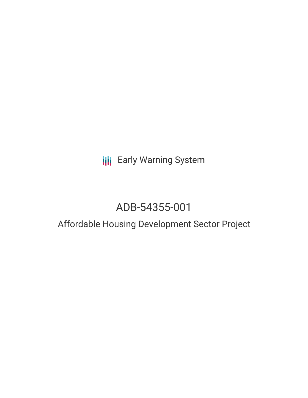## **III** Early Warning System

# ADB-54355-001

### Affordable Housing Development Sector Project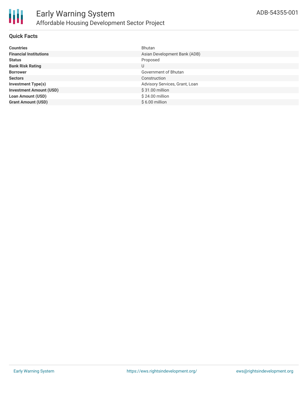

#### **Quick Facts**

| <b>Countries</b>               | Bhutan                         |
|--------------------------------|--------------------------------|
| <b>Financial Institutions</b>  | Asian Development Bank (ADB)   |
| <b>Status</b>                  | Proposed                       |
| <b>Bank Risk Rating</b>        | U                              |
| <b>Borrower</b>                | Government of Bhutan           |
| <b>Sectors</b>                 | Construction                   |
| <b>Investment Type(s)</b>      | Advisory Services, Grant, Loan |
| <b>Investment Amount (USD)</b> | \$31.00 million                |
| <b>Loan Amount (USD)</b>       | \$24.00 million                |
| <b>Grant Amount (USD)</b>      | $$6.00$ million                |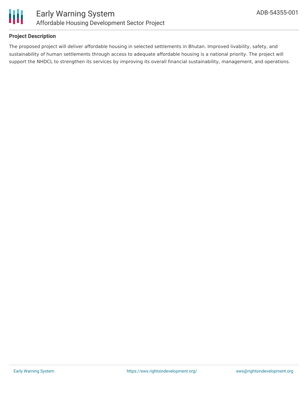

#### **Project Description**

The proposed project will deliver affordable housing in selected settlements in Bhutan. Improved livability, safety, and sustainability of human settlements through access to adequate affordable housing is a national priority. The project will support the NHDCL to strengthen its services by improving its overall financial sustainability, management, and operations.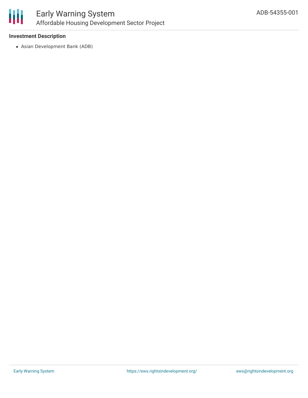

#### **Investment Description**

Asian Development Bank (ADB)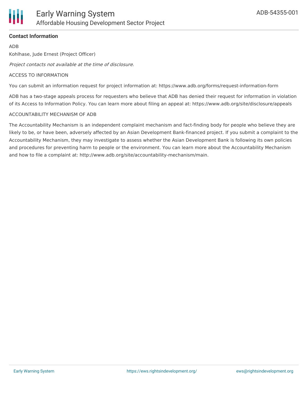

#### **Contact Information**

ADB

Kohlhase, Jude Ernest (Project Officer)

Project contacts not available at the time of disclosure.

#### ACCESS TO INFORMATION

You can submit an information request for project information at: https://www.adb.org/forms/request-information-form

ADB has a two-stage appeals process for requesters who believe that ADB has denied their request for information in violation of its Access to Information Policy. You can learn more about filing an appeal at: https://www.adb.org/site/disclosure/appeals

#### ACCOUNTABILITY MECHANISM OF ADB

The Accountability Mechanism is an independent complaint mechanism and fact-finding body for people who believe they are likely to be, or have been, adversely affected by an Asian Development Bank-financed project. If you submit a complaint to the Accountability Mechanism, they may investigate to assess whether the Asian Development Bank is following its own policies and procedures for preventing harm to people or the environment. You can learn more about the Accountability Mechanism and how to file a complaint at: http://www.adb.org/site/accountability-mechanism/main.